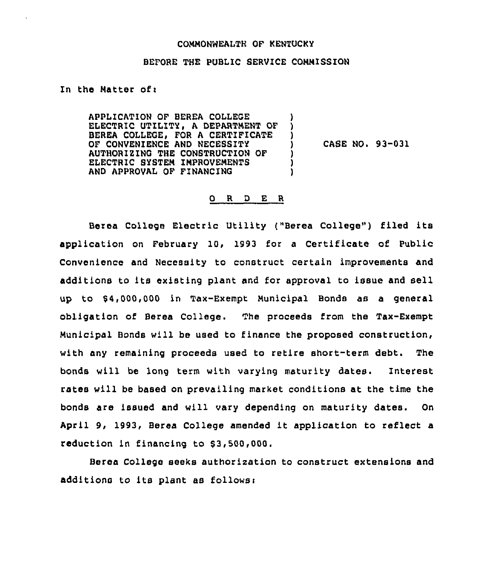### COMMONWEALTH OF KENTUCKY

# BEFORE THE PUBLIC SERVICE COMMISSION

## In the Matter ofi

APPLICATION OF BEREA COLLEGE ELECTRIC UTILITY, A DEPARTMENT OF BEREA COLLEGE, FOR A CERTIFICATE OF CONVENIENCE AND NECESSITY AUTHORIZING THE CONSTRUCTION OF ELECTRIC SYSTEM IMPROVEMENTS AND APPROVAL OF FINANCING ) ) )<br>) ) ) )

) CASE NO. 93-031

#### R D E R  $\mathbf{O}$

Berea College Electric Utility ("Berea College") filed its application on February 10, 1993 for <sup>a</sup> Certificate of Public Convenience and Necessity to construct certain improvements and additions to its existing plant and for approval to issue and sell up to \$ 4,000,000 in Tax-Exempt Municipal Bonds as a general obligation of Berea College. The proceeds from the Tax-Exempt Municipal Bonds will be used to finance the proposed construction, with any remaining proceeds used to retire short-term debt. The bonds will. be long term with varying maturity dates. Interest rates will be based on prevailing market conditions at the time the bonds are issued and will vary depending on maturity dates. On April 9, 1993, Berea College amended it application to reflect <sup>a</sup> reduction in financing to \$3,500,000.

Berea College seeks author ization to construct extensions and additions to its plant as follows: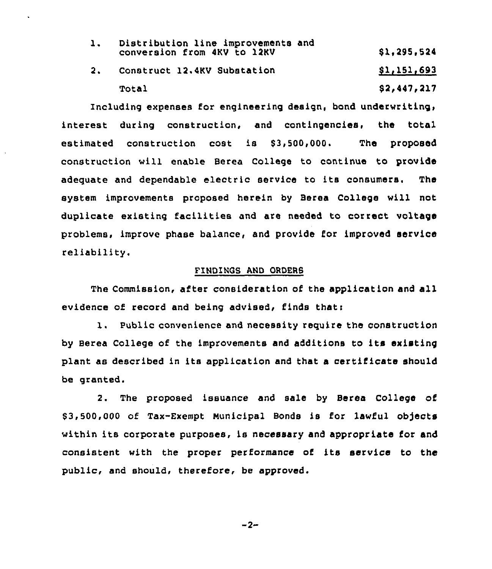|  | Distribution line improvements and<br>conversion from 4KV to 12KV | \$1,295,524 |
|--|-------------------------------------------------------------------|-------------|
|  | 2. Construct 12.4KV Substation                                    | \$1,151,693 |
|  | <b>Total</b>                                                      | \$2,447,217 |

Including expenses for engineering design, bond underwriting, interest during construction, and contingencies, the total estimated construction cost is \$3,500,000. The proposed construction will enable Berea College to continue to provide adequate and dependable electric service to its consumers. The system improvements proposed herein by Bares College will not duplicate existing facilities and are needed to correct voltage problems, improve phase balance, and provide for improved service reliability.

# FINDINGS AND ORDERS

The Commission, after consideration of the application and all evidence of record and being advised, finds that:

1. Public convenience and necessity require the construction by Berea College of the improvements and additions to its existing plant as described in its application and that a certificate should be granted.

2. The proposed issuance and sale by Berea College of 63,500,000 of Tax-Exempt municipal Bonds is for lawful objects within its corporate purposes, is necessary and appropriate for and consistent with the proper performance of its service to the public, and should, therefore, be approved.

 $-2-$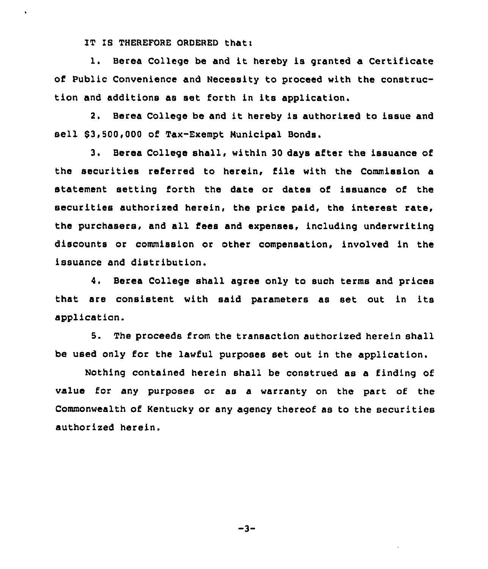IT IS THEREFORE ORDERED thati

1. Berea College be and it hereby is granted a Certificate of Public Convenience and Necessity to proceed with the construction and additions as set forth in its application.

2. Berea College be and it hereby is authorized to issue and sell \$3,500,000 of Tax-Exempt Municipal Bonds.

3. Berea College shall, within 30 days after the issuance of the securities referred to herein, file with the Commission a statement setting forth the date or dates of issuance of the securities authorized herein, the price paid, the interest rate, the purchasers, and all fees and expenses, including underwriting discounts or commission or other compensation, involved in the issuance and distribution.

4. Berea College shall agree only to such terms and prices that are consistent with said parameters as set out in its application.

5. The proceeds from the transaction authorized herein shall be used only for the lawful purposes set out in the application.

Nothing contained herein shall be construed as a finding of value for any purposes or as a warranty on the part of the Commonwealth of Kentucky or any agency thereof as to the securities authorized herein.

-3"